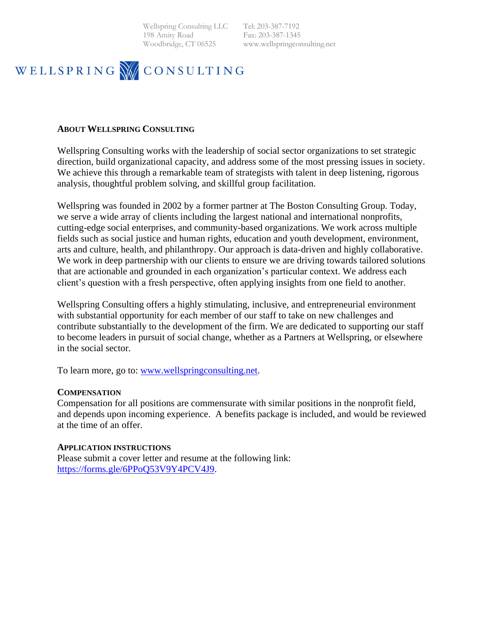Wellspring Consulting LLC Tel: 203-387-7192 198 Amity Road Fax: 203-387-1345

Woodbridge, CT 06525 www.wellspringconsulting.net



## **ABOUT WELLSPRING CONSULTING**

Wellspring Consulting works with the leadership of social sector organizations to set strategic direction, build organizational capacity, and address some of the most pressing issues in society. We achieve this through a remarkable team of strategists with talent in deep listening, rigorous analysis, thoughtful problem solving, and skillful group facilitation.

Wellspring was founded in 2002 by a former partner at The Boston Consulting Group. Today, we serve a wide array of clients including the largest national and international nonprofits, cutting-edge social enterprises, and community-based organizations. We work across multiple fields such as social justice and human rights, education and youth development, environment, arts and culture, health, and philanthropy. Our approach is data-driven and highly collaborative. We work in deep partnership with our clients to ensure we are driving towards tailored solutions that are actionable and grounded in each organization's particular context. We address each client's question with a fresh perspective, often applying insights from one field to another.

Wellspring Consulting offers a highly stimulating, inclusive, and entrepreneurial environment with substantial opportunity for each member of our staff to take on new challenges and contribute substantially to the development of the firm. We are dedicated to supporting our staff to become leaders in pursuit of social change, whether as a Partners at Wellspring, or elsewhere in the social sector.

To learn more, go to: [www.wellspringconsulting.net.](http://www.wellspringconsulting.net/)

### **COMPENSATION**

Compensation for all positions are commensurate with similar positions in the nonprofit field, and depends upon incoming experience. A benefits package is included, and would be reviewed at the time of an offer.

### **APPLICATION INSTRUCTIONS**

Please submit a cover letter and resume at the following link: [https://forms.gle/6PPoQ53V9Y4PCV4J9.](https://forms.gle/6PPoQ53V9Y4PCV4J9)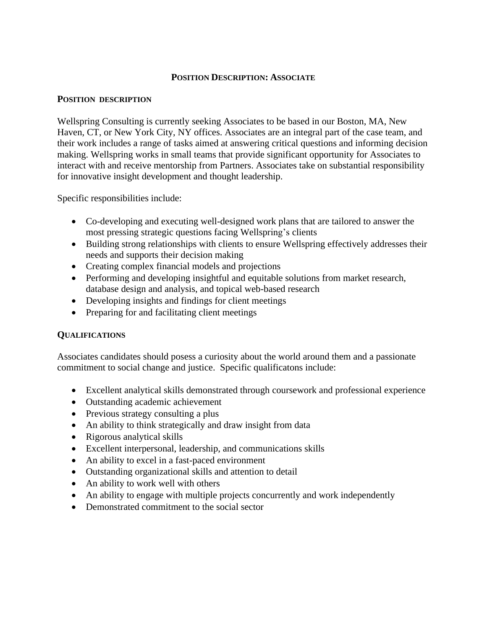#### **POSITION DESCRIPTION: ASSOCIATE**

#### **POSITION DESCRIPTION**

Wellspring Consulting is currently seeking Associates to be based in our Boston, MA, New Haven, CT, or New York City, NY offices. Associates are an integral part of the case team, and their work includes a range of tasks aimed at answering critical questions and informing decision making. Wellspring works in small teams that provide significant opportunity for Associates to interact with and receive mentorship from Partners. Associates take on substantial responsibility for innovative insight development and thought leadership.

Specific responsibilities include:

- Co-developing and executing well-designed work plans that are tailored to answer the most pressing strategic questions facing Wellspring's clients
- Building strong relationships with clients to ensure Wellspring effectively addresses their needs and supports their decision making
- Creating complex financial models and projections
- Performing and developing insightful and equitable solutions from market research, database design and analysis, and topical web-based research
- Developing insights and findings for client meetings
- Preparing for and facilitating client meetings

# **QUALIFICATIONS**

Associates candidates should posess a curiosity about the world around them and a passionate commitment to social change and justice. Specific qualificatons include:

- Excellent analytical skills demonstrated through coursework and professional experience
- Outstanding academic achievement
- Previous strategy consulting a plus
- An ability to think strategically and draw insight from data
- Rigorous analytical skills
- Excellent interpersonal, leadership, and communications skills
- An ability to excel in a fast-paced environment
- Outstanding organizational skills and attention to detail
- An ability to work well with others
- An ability to engage with multiple projects concurrently and work independently
- Demonstrated commitment to the social sector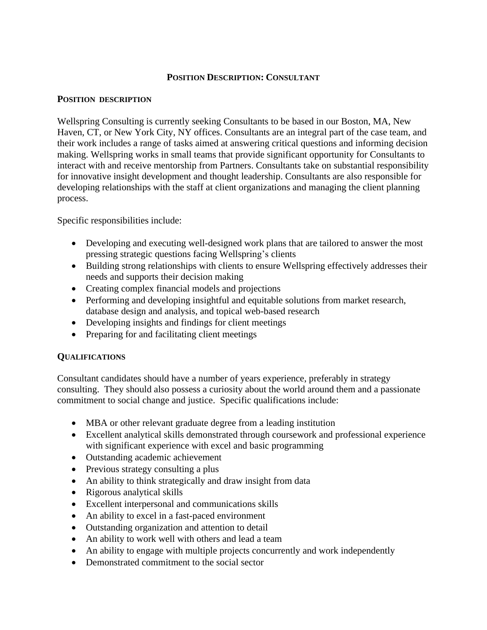### **POSITION DESCRIPTION: CONSULTANT**

### **POSITION DESCRIPTION**

Wellspring Consulting is currently seeking Consultants to be based in our Boston, MA, New Haven, CT, or New York City, NY offices. Consultants are an integral part of the case team, and their work includes a range of tasks aimed at answering critical questions and informing decision making. Wellspring works in small teams that provide significant opportunity for Consultants to interact with and receive mentorship from Partners. Consultants take on substantial responsibility for innovative insight development and thought leadership. Consultants are also responsible for developing relationships with the staff at client organizations and managing the client planning process.

Specific responsibilities include:

- Developing and executing well-designed work plans that are tailored to answer the most pressing strategic questions facing Wellspring's clients
- Building strong relationships with clients to ensure Wellspring effectively addresses their needs and supports their decision making
- Creating complex financial models and projections
- Performing and developing insightful and equitable solutions from market research, database design and analysis, and topical web-based research
- Developing insights and findings for client meetings
- Preparing for and facilitating client meetings

# **QUALIFICATIONS**

Consultant candidates should have a number of years experience, preferably in strategy consulting. They should also possess a curiosity about the world around them and a passionate commitment to social change and justice. Specific qualifications include:

- MBA or other relevant graduate degree from a leading institution
- Excellent analytical skills demonstrated through coursework and professional experience with significant experience with excel and basic programming
- Outstanding academic achievement
- Previous strategy consulting a plus
- An ability to think strategically and draw insight from data
- Rigorous analytical skills
- Excellent interpersonal and communications skills
- An ability to excel in a fast-paced environment
- Outstanding organization and attention to detail
- An ability to work well with others and lead a team
- An ability to engage with multiple projects concurrently and work independently
- Demonstrated commitment to the social sector